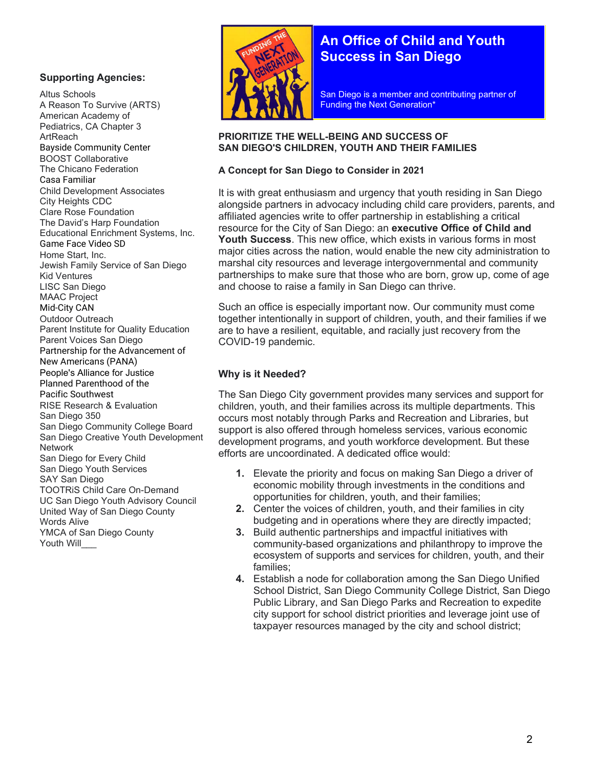### Supporting Agencies:

Altus Schools A Reason To Survive (ARTS) American Academy of Pediatrics, CA Chapter 3 ArtReach Bayside Community Center BOOST Collaborative The Chicano Federation Casa Familiar Child Development Associates City Heights CDC Clare Rose Foundation The David's Harp Foundation Educational Enrichment Systems, Inc. Game Face Video SD Home Start, Inc. Jewish Family Service of San Diego Kid Ventures LISC San Diego MAAC Project Mid-City CAN Outdoor Outreach Parent Institute for Quality Education Parent Voices San Diego Partnership for the Advancement of New Americans (PANA) People's Alliance for Justice Planned Parenthood of the Pacific Southwest RISE Research & Evaluation San Diego 350 San Diego Community College Board San Diego Creative Youth Development **Network** San Diego for Every Child San Diego Youth Services SAY San Diego TOOTRiS Child Care On-Demand UC San Diego Youth Advisory Council United Way of San Diego County Words Alive YMCA of San Diego County Youth Will



J

# An Office of Child and Youth Success in San Diego

San Diego is a member and contributing partner of Funding the Next Generation\*

#### PRIORITIZE THE WELL-BEING AND SUCCESS OF SAN DIEGO'S CHILDREN, YOUTH AND THEIR FAMILIES

### A Concept for San Diego to Consider in 2021

It is with great enthusiasm and urgency that youth residing in San Diego alongside partners in advocacy including child care providers, parents, and affiliated agencies write to offer partnership in establishing a critical resource for the City of San Diego: an executive Office of Child and Youth Success. This new office, which exists in various forms in most major cities across the nation, would enable the new city administration to marshal city resources and leverage intergovernmental and community partnerships to make sure that those who are born, grow up, come of age and choose to raise a family in San Diego can thrive.

Such an office is especially important now. Our community must come together intentionally in support of children, youth, and their families if we are to have a resilient, equitable, and racially just recovery from the COVID-19 pandemic.

## Why is it Needed?

The San Diego City government provides many services and support for children, youth, and their families across its multiple departments. This occurs most notably through Parks and Recreation and Libraries, but support is also offered through homeless services, various economic development programs, and youth workforce development. But these efforts are uncoordinated. A dedicated office would:

- 1. Elevate the priority and focus on making San Diego a driver of economic mobility through investments in the conditions and opportunities for children, youth, and their families;
- 2. Center the voices of children, youth, and their families in city budgeting and in operations where they are directly impacted;
- 3. Build authentic partnerships and impactful initiatives with community-based organizations and philanthropy to improve the ecosystem of supports and services for children, youth, and their families;
- 4. Establish a node for collaboration among the San Diego Unified School District, San Diego Community College District, San Diego Public Library, and San Diego Parks and Recreation to expedite city support for school district priorities and leverage joint use of taxpayer resources managed by the city and school district;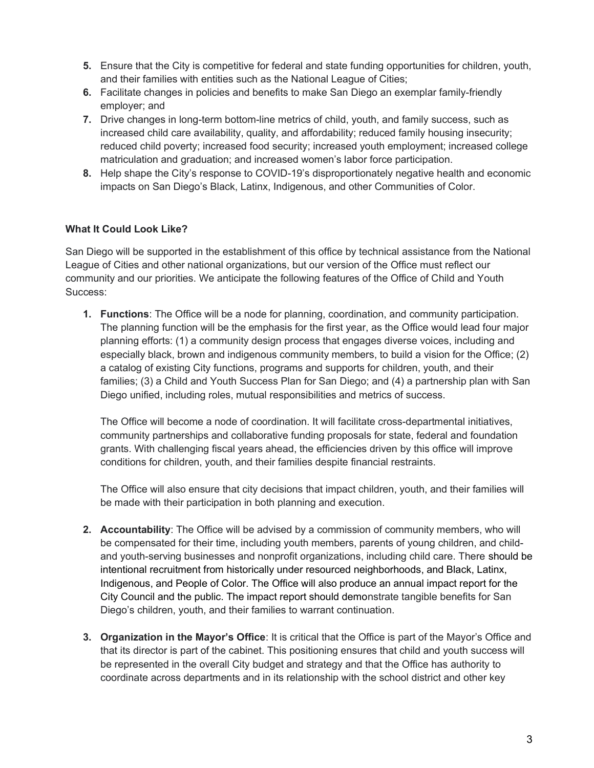- 5. Ensure that the City is competitive for federal and state funding opportunities for children, youth, and their families with entities such as the National League of Cities;
- 6. Facilitate changes in policies and benefits to make San Diego an exemplar family-friendly employer; and
- 7. Drive changes in long-term bottom-line metrics of child, youth, and family success, such as increased child care availability, quality, and affordability; reduced family housing insecurity; reduced child poverty; increased food security; increased youth employment; increased college matriculation and graduation; and increased women's labor force participation.
- 8. Help shape the City's response to COVID-19's disproportionately negative health and economic impacts on San Diego's Black, Latinx, Indigenous, and other Communities of Color.

## What It Could Look Like?

San Diego will be supported in the establishment of this office by technical assistance from the National League of Cities and other national organizations, but our version of the Office must reflect our community and our priorities. We anticipate the following features of the Office of Child and Youth Success:

1. Functions: The Office will be a node for planning, coordination, and community participation. The planning function will be the emphasis for the first year, as the Office would lead four major planning efforts: (1) a community design process that engages diverse voices, including and especially black, brown and indigenous community members, to build a vision for the Office; (2) a catalog of existing City functions, programs and supports for children, youth, and their families; (3) a Child and Youth Success Plan for San Diego; and (4) a partnership plan with San Diego unified, including roles, mutual responsibilities and metrics of success.

The Office will become a node of coordination. It will facilitate cross-departmental initiatives, community partnerships and collaborative funding proposals for state, federal and foundation grants. With challenging fiscal years ahead, the efficiencies driven by this office will improve conditions for children, youth, and their families despite financial restraints.

The Office will also ensure that city decisions that impact children, youth, and their families will be made with their participation in both planning and execution.

- 2. Accountability: The Office will be advised by a commission of community members, who will be compensated for their time, including youth members, parents of young children, and childand youth-serving businesses and nonprofit organizations, including child care. There should be intentional recruitment from historically under resourced neighborhoods, and Black, Latinx, Indigenous, and People of Color. The Office will also produce an annual impact report for the City Council and the public. The impact report should demonstrate tangible benefits for San Diego's children, youth, and their families to warrant continuation.
- 3. Organization in the Mayor's Office: It is critical that the Office is part of the Mayor's Office and that its director is part of the cabinet. This positioning ensures that child and youth success will be represented in the overall City budget and strategy and that the Office has authority to coordinate across departments and in its relationship with the school district and other key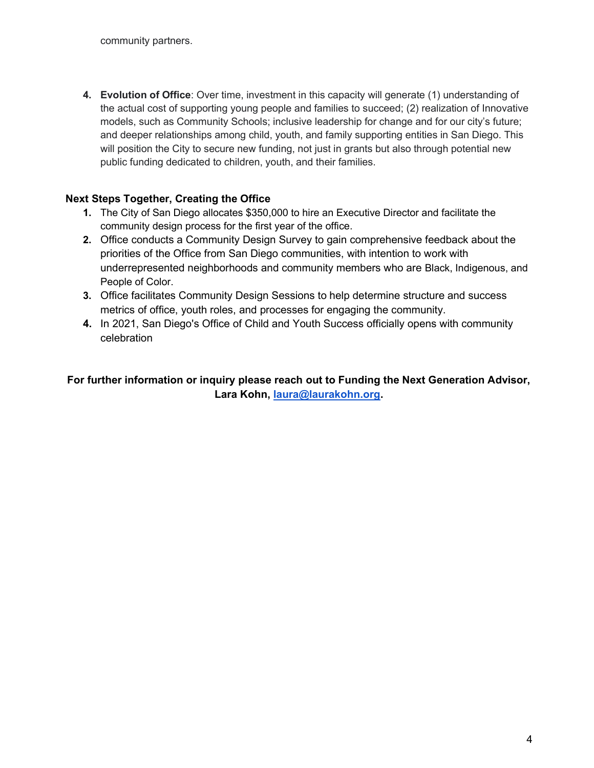community partners.

4. Evolution of Office: Over time, investment in this capacity will generate (1) understanding of the actual cost of supporting young people and families to succeed; (2) realization of Innovative models, such as Community Schools; inclusive leadership for change and for our city's future; and deeper relationships among child, youth, and family supporting entities in San Diego. This will position the City to secure new funding, not just in grants but also through potential new public funding dedicated to children, youth, and their families.

# Next Steps Together, Creating the Office

- 1. The City of San Diego allocates \$350,000 to hire an Executive Director and facilitate the community design process for the first year of the office.
- 2. Office conducts a Community Design Survey to gain comprehensive feedback about the priorities of the Office from San Diego communities, with intention to work with underrepresented neighborhoods and community members who are Black, Indigenous, and People of Color.
- 3. Office facilitates Community Design Sessions to help determine structure and success metrics of office, youth roles, and processes for engaging the community.
- 4. In 2021, San Diego's Office of Child and Youth Success officially opens with community celebration

# For further information or inquiry please reach out to Funding the Next Generation Advisor, Lara Kohn, laura@laurakohn.org.